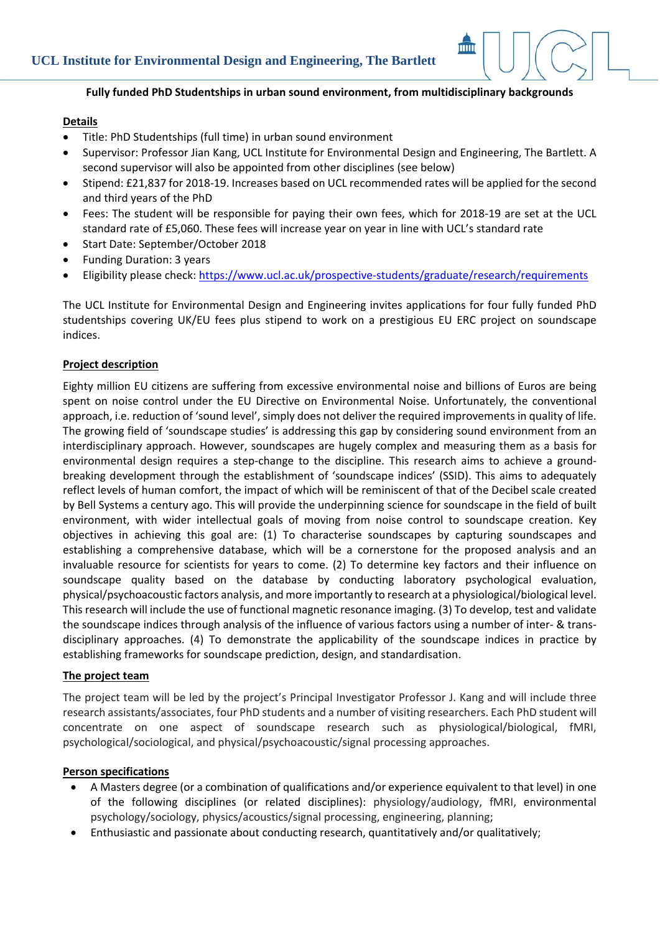

## **Details**

- Title: PhD Studentships (full time) in urban sound environment
- Supervisor: Professor Jian Kang, UCL Institute for Environmental Design and Engineering, The Bartlett. A second supervisor will also be appointed from other disciplines (see below)
- Stipend: £21,837 for 2018‐19. Increases based on UCL recommended rates will be applied for the second and third years of the PhD
- Fees: The student will be responsible for paying their own fees, which for 2018‐19 are set at the UCL standard rate of £5,060. These fees will increase year on year in line with UCL's standard rate
- Start Date: September/October 2018
- Funding Duration: 3 years
- Eligibility please check: https://www.ucl.ac.uk/prospective‐students/graduate/research/requirements

The UCL Institute for Environmental Design and Engineering invites applications for four fully funded PhD studentships covering UK/EU fees plus stipend to work on a prestigious EU ERC project on soundscape indices.

### **Project description**

Eighty million EU citizens are suffering from excessive environmental noise and billions of Euros are being spent on noise control under the EU Directive on Environmental Noise. Unfortunately, the conventional approach, i.e. reduction of 'sound level', simply does not deliver the required improvements in quality of life. The growing field of 'soundscape studies' is addressing this gap by considering sound environment from an interdisciplinary approach. However, soundscapes are hugely complex and measuring them as a basis for environmental design requires a step-change to the discipline. This research aims to achieve a groundbreaking development through the establishment of 'soundscape indices' (SSID). This aims to adequately reflect levels of human comfort, the impact of which will be reminiscent of that of the Decibel scale created by Bell Systems a century ago. This will provide the underpinning science for soundscape in the field of built environment, with wider intellectual goals of moving from noise control to soundscape creation. Key objectives in achieving this goal are: (1) To characterise soundscapes by capturing soundscapes and establishing a comprehensive database, which will be a cornerstone for the proposed analysis and an invaluable resource for scientists for years to come. (2) To determine key factors and their influence on soundscape quality based on the database by conducting laboratory psychological evaluation, physical/psychoacoustic factors analysis, and more importantly to research at a physiological/biological level. This research will include the use of functional magnetic resonance imaging. (3) To develop, test and validate the soundscape indices through analysis of the influence of various factors using a number of inter‐ & trans‐ disciplinary approaches. (4) To demonstrate the applicability of the soundscape indices in practice by establishing frameworks for soundscape prediction, design, and standardisation.

#### **The project team**

The project team will be led by the project's Principal Investigator Professor J. Kang and will include three research assistants/associates, four PhD students and a number of visiting researchers. Each PhD student will concentrate on one aspect of soundscape research such as physiological/biological, fMRI, psychological/sociological, and physical/psychoacoustic/signal processing approaches.

### **Person specifications**

- A Masters degree (or a combination of qualifications and/or experience equivalent to that level) in one of the following disciplines (or related disciplines): physiology/audiology, fMRI, environmental psychology/sociology, physics/acoustics/signal processing, engineering, planning;
- Enthusiastic and passionate about conducting research, quantitatively and/or qualitatively;